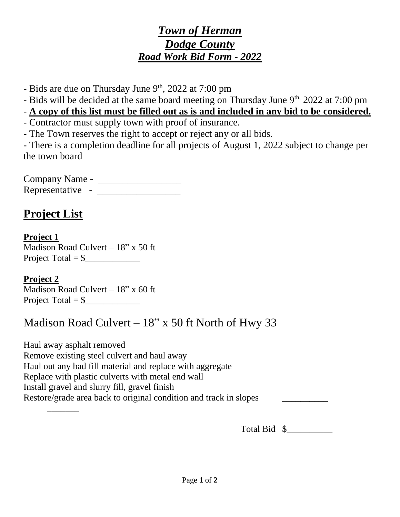### *Town of Herman Dodge County Road Work Bid Form - 2022*

- Bids are due on Thursday June 9<sup>th</sup>, 2022 at 7:00 pm

- Bids will be decided at the same board meeting on Thursday June 9<sup>th,</sup> 2022 at 7:00 pm

- **A copy of this list must be filled out as is and included in any bid to be considered.**

- Contractor must supply town with proof of insurance.
- The Town reserves the right to accept or reject any or all bids.

- There is a completion deadline for all projects of August 1, 2022 subject to change per the town board

Company Name - \_\_\_\_\_\_\_\_\_\_\_\_\_\_\_\_\_ Representative - \_\_\_\_\_\_\_\_\_\_\_\_\_\_\_\_\_

# **Project List**

**Project 1** Madison Road Culvert  $-18$ " x 50 ft Project Total = \$\_\_\_\_\_\_\_\_\_\_\_\_

#### **Project 2**

Madison Road Culvert  $-18$ " x 60 ft Project Total =  $\frac{1}{2}$ 

# Madison Road Culvert  $-18$ " x 50 ft North of Hwy 33

Haul away asphalt removed Remove existing steel culvert and haul away Haul out any bad fill material and replace with aggregate Replace with plastic culverts with metal end wall Install gravel and slurry fill, gravel finish Restore/grade area back to original condition and track in slopes  $\overline{\phantom{a}}$ 

Total Bid  $\quad \$